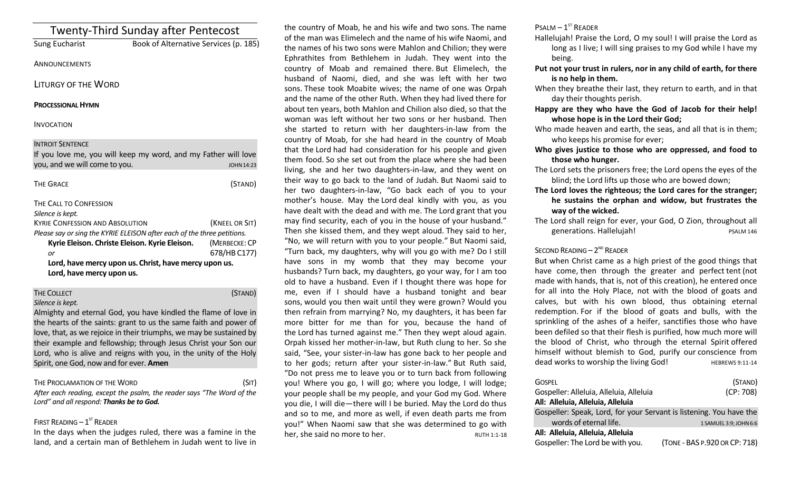| <b>Twenty-Third Sunday after Pentecost</b>                                         |                                                                         |
|------------------------------------------------------------------------------------|-------------------------------------------------------------------------|
| Sung Eucharist                                                                     | Book of Alternative Services (p. 185)                                   |
| <b>ANNOUNCEMENTS</b>                                                               |                                                                         |
| LITURGY OF THE WORD                                                                |                                                                         |
| <b>PROCESSIONAL HYMN</b>                                                           |                                                                         |
| <b>INVOCATION</b>                                                                  |                                                                         |
| <b>INTROIT SENTENCE</b>                                                            |                                                                         |
|                                                                                    | If you love me, you will keep my word, and my Father will love          |
| you, and we will come to you.                                                      | <b>JOHN 14:23</b>                                                       |
| <b>THE GRACE</b>                                                                   | (STAND)                                                                 |
| THE CALL TO CONFESSION                                                             |                                                                         |
| Silence is kept.                                                                   |                                                                         |
| <b>KYRIE CONFESSION AND ABSOLUTION</b>                                             | (KNEEL OR SIT)                                                          |
|                                                                                    | Please say or sing the KYRIE ELEISON after each of the three petitions. |
| Kyrie Eleison. Christe Eleison. Kyrie Eleison.                                     | (MERBECKE: CP<br>678/HB C177)                                           |
| or                                                                                 |                                                                         |
| Lord, have mercy upon us. Christ, have mercy upon us.<br>Lord, have mercy upon us. |                                                                         |
|                                                                                    |                                                                         |

### THE COLLECT **THE COLLECT COLLECT COLLECT COLLECT COLLECT COLLECT COLLECT COLLECT COLLECT COLLECT**

### *Silence is kept.*

Almighty and eternal God, you have kindled the flame of love in the hearts of the saints: grant to us the same faith and power of love, that, as we rejoice in their triumphs, we may be sustained by their example and fellowship; through Jesus Christ your Son our Lord, who is alive and reigns with you, in the unity of the Holy Spirit, one God, now and for ever. **Amen**

THE PROCLAMATION OF THE WORD (SIT) *After each reading, except the psalm, the reader says "The Word of the Lord" and all respond: Thanks be to God.* 

### FIRST READING  $-1^{57}$  READER

In the days when the judges ruled, there was a famine in the land, and a certain man of Bethlehem in Judah went to live in

the country of Moab, he and his wife and two sons. The name of the man was Elimelech and the name of his wife Naomi, and the names of his two sons were Mahlon and Chilion; they were Ephrathites from Bethlehem in Judah. They went into the country of Moab and remained there. But Elimelech, the husband of Naomi, died, and she was left with her two sons. These took Moabite wives; the name of one was Orpah and the name of the other Ruth. When they had lived there for about ten years, both Mahlon and Chilion also died, so that the woman was left without her two sons or her husband. Then she started to return with her daughters-in-law from the country of Moab, for she had heard in the country of Moab that the Lord had had consideration for his people and given them food. So she set out from the place where she had been living, she and her two daughters-in-law, and they went on their way to go back to the land of Judah. But Naomi said to her two daughters-in-law, "Go back each of you to your mother's house. May the Lord deal kindly with you, as you have dealt with the dead and with me. The Lord grant that you may find security, each of you in the house of your husband." Then she kissed them, and they wept aloud. They said to her, "No, we will return with you to your people." But Naomi said, "Turn back, my daughters, why will you go with me? Do I still have sons in my womb that they may become your husbands? Turn back, my daughters, go your way, for I am too old to have a husband. Even if I thought there was hope for me, even if I should have a husband tonight and bear sons, would you then wait until they were grown? Would you then refrain from marrying? No, my daughters, it has been far more bitter for me than for you, because the hand of the Lord has turned against me." Then they wept aloud again. Orpah kissed her mother-in-law, but Ruth clung to her. So she said, "See, your sister-in-law has gone back to her people and to her gods; return after your sister-in-law." But Ruth said, "Do not press me to leave you or to turn back from following you! Where you go, I will go; where you lodge, I will lodge; your people shall be my people, and your God my God. Where you die, I will die—there will I be buried. May the Lord do thus and so to me, and more as well, if even death parts me from you!" When Naomi saw that she was determined to go with her, she said no more to her. The same series are set of the said no more to her.  $P$ SALM  $-1$ <sup>ST</sup> READER

- Hallelujah! Praise the Lord, O my soul! I will praise the Lord as long as I live; I will sing praises to my God while I have my being.
- **Put not your trust in rulers, nor in any child of earth, for there is no help in them.**
- When they breathe their last, they return to earth, and in that day their thoughts perish.
- **Happy are they who have the God of Jacob for their help! whose hope is in the Lord their God;**
- Who made heaven and earth, the seas, and all that is in them; who keeps his promise for ever;
- **Who gives justice to those who are oppressed, and food to those who hunger.**
- The Lord sets the prisoners free; the Lord opens the eyes of the blind; the Lord lifts up those who are bowed down;
- **The Lord loves the righteous; the Lord cares for the stranger; he sustains the orphan and widow, but frustrates the way of the wicked.**
- The Lord shall reign for ever, your God, O Zion, throughout all generations. Hallelujah! PSALM 146

## SECOND READING  $-2^{ND}$  READER

But when Christ came as a high priest of the good things that have come, then through the greater and perfect tent (not made with hands, that is, not of this creation), he entered once for all into the Holy Place, not with the blood of goats and calves, but with his own blood, thus obtaining eternal redemption. For if the blood of goats and bulls, with the sprinkling of the ashes of a heifer, sanctifies those who have been defiled so that their flesh is purified, how much more will the blood of Christ, who through the eternal Spirit offered himself without blemish to God, purify our conscience from dead works to worship the living God! HEBREWS 9:11-14

| <b>GOSPEL</b>                                                       | (STAND)                       |  |
|---------------------------------------------------------------------|-------------------------------|--|
| Gospeller: Alleluia, Alleluia, Alleluia                             | (CP: 708)                     |  |
| All: Alleluia, Alleluia, Alleluia                                   |                               |  |
| Gospeller: Speak, Lord, for your Servant is listening. You have the |                               |  |
| words of eternal life.                                              | 1 SAMUEL 3:9; JOHN 6:6        |  |
| All: Alleluia, Alleluia, Alleluia                                   |                               |  |
| Gospeller: The Lord be with you.                                    | (TONE - BAS P.920 OR CP: 718) |  |